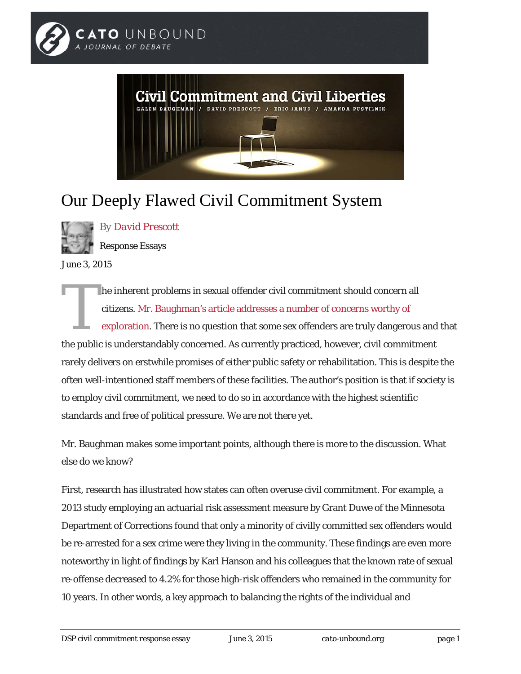



## Our Deeply Flawed Civil Commitment System



*By [David Prescott](http://www.cato-unbound.org/contributors/david-prescott)*

Response Essays

June 3, 2015

he inherent problems in sexual offender civil commitment should concern all citizens. [Mr. Baughman's article addresses a number of concerns worthy of](http://www.cato-unbound.org/2015/06/01/galen-baughman/questionable-committments)  [exploration.](http://www.cato-unbound.org/2015/06/01/galen-baughman/questionable-committments) There is no question that some sex offenders are truly dangerous and that the public is understandably concerned. As currently practiced, however, civil commitment rarely delivers on erstwhile promises of either public safety or rehabilitation. This is despite the often well-intentioned staff members of these facilities. The author's position is that if society is to employ civil commitment, we need to do so in accordance with the highest scientific standards and free of political pressure. We are not there yet. T

Mr. Baughman makes some important points, although there is more to the discussion. What else do we know?

First, research has illustrated how states can often overuse civil commitment. For example, a 2013 study employing an actuarial risk assessment measure by Grant Duwe of the Minnesota Department of Corrections found that only a minority of civilly committed sex offenders would be re-arrested for a sex crime were they living in the community. These findings are even more noteworthy in light of findings by Karl Hanson and his colleagues that the known rate of sexual re-offense decreased to 4.2% for those high-risk offenders who remained in the community for 10 years. In other words, a key approach to balancing the rights of the individual and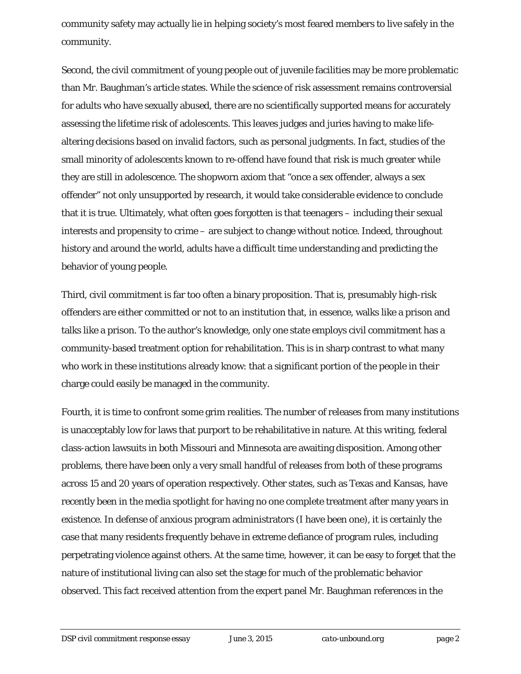community safety may actually lie in helping society's most feared members to live safely in the community.

Second, the civil commitment of young people out of juvenile facilities may be more problematic than Mr. Baughman's article states. While the science of risk assessment remains controversial for adults who have sexually abused, there are no scientifically supported means for accurately assessing the lifetime risk of adolescents. This leaves judges and juries having to make lifealtering decisions based on invalid factors, such as personal judgments. In fact, studies of the small minority of adolescents known to re-offend have found that risk is much greater while they are still in adolescence. The shopworn axiom that "once a sex offender, always a sex offender" not only unsupported by research, it would take considerable evidence to conclude that it is true. Ultimately, what often goes forgotten is that teenagers – including their sexual interests and propensity to crime – are subject to change without notice. Indeed, throughout history and around the world, adults have a difficult time understanding and predicting the behavior of young people.

Third, civil commitment is far too often a binary proposition. That is, presumably high-risk offenders are either committed or not to an institution that, in essence, walks like a prison and talks like a prison. To the author's knowledge, only one state employs civil commitment has a community-based treatment option for rehabilitation. This is in sharp contrast to what many who work in these institutions already know: that a significant portion of the people in their charge could easily be managed in the community.

Fourth, it is time to confront some grim realities. The number of releases from many institutions is unacceptably low for laws that purport to be rehabilitative in nature. At this writing, federal class-action lawsuits in both Missouri and Minnesota are awaiting disposition. Among other problems, there have been only a very small handful of releases from both of these programs across 15 and 20 years of operation respectively. Other states, such as Texas and Kansas, have recently been in the media spotlight for having no one complete treatment after many years in existence. In defense of anxious program administrators (I have been one), it is certainly the case that many residents frequently behave in extreme defiance of program rules, including perpetrating violence against others. At the same time, however, it can be easy to forget that the nature of institutional living can also set the stage for much of the problematic behavior observed. This fact received attention from the expert panel Mr. Baughman references in the